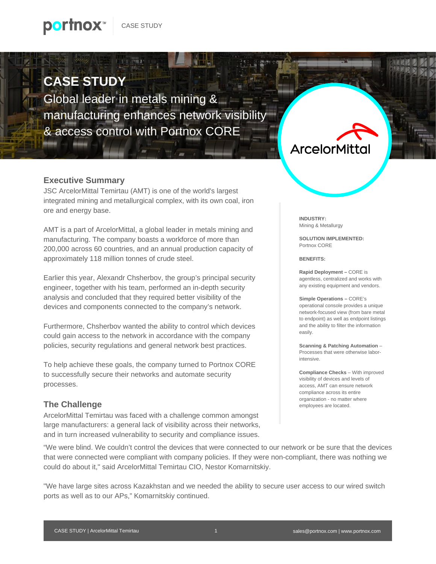### **CASE STUDY**

Global leader in metals mining & manufacturing enhances network visibility & access control with Portnox CORE

#### **Executive Summary**

JSC ArcelorMittal Temirtau (AMT) is one of the world's largest integrated mining and metallurgical complex, with its own coal, iron ore and energy base.

AMT is a part of ArcelorMittal, a global leader in metals mining and manufacturing. The company boasts a workforce of more than 200,000 across 60 countries, and an annual production capacity of approximately 118 million tonnes of crude steel.

Earlier this year, Alexandr Chsherbov, the group's principal security engineer, together with his team, performed an in-depth security analysis and concluded that they required better visibility of the devices and components connected to the company's network.

Furthermore, Chsherbov wanted the ability to control which devices could gain access to the network in accordance with the company policies, security regulations and general network best practices.

To help achieve these goals, the company turned to Portnox CORE to successfully secure their networks and automate security processes.

### **The Challenge**

ArcelorMittal Temirtau was faced with a challenge common amongst large manufacturers: a general lack of visibility across their networks, and in turn increased vulnerability to security and compliance issues.

## **ArcelorMittal**

**INDUSTRY:** Mining & Metallurgy

**SOLUTION IMPLEMENTED:** Portnox CORE

**BENEFITS:**

**Rapid Deployment –** CORE is agentless, centralized and works with any existing equipment and vendors.

**Simple Operations –** CORE's operational console provides a unique network-focused view (from bare metal to endpoint) as well as endpoint listings and the ability to filter the information easily.

**Scanning & Patching Automation** – Processes that were otherwise laborintensive.

**Compliance Checks** – With improved visibility of devices and levels of access, AMT can ensure network compliance across its entire organization - no matter where employees are located.

"We were blind. We couldn't control the devices that were connected to our network or be sure that the devices that were connected were compliant with company policies. If they were non-compliant, there was nothing we could do about it," said ArcelorMittal Temirtau CIO, Nestor Komarnitskiy.

"We have large sites across Kazakhstan and we needed the ability to secure user access to our wired switch ports as well as to our APs," Komarnitskiy continued.